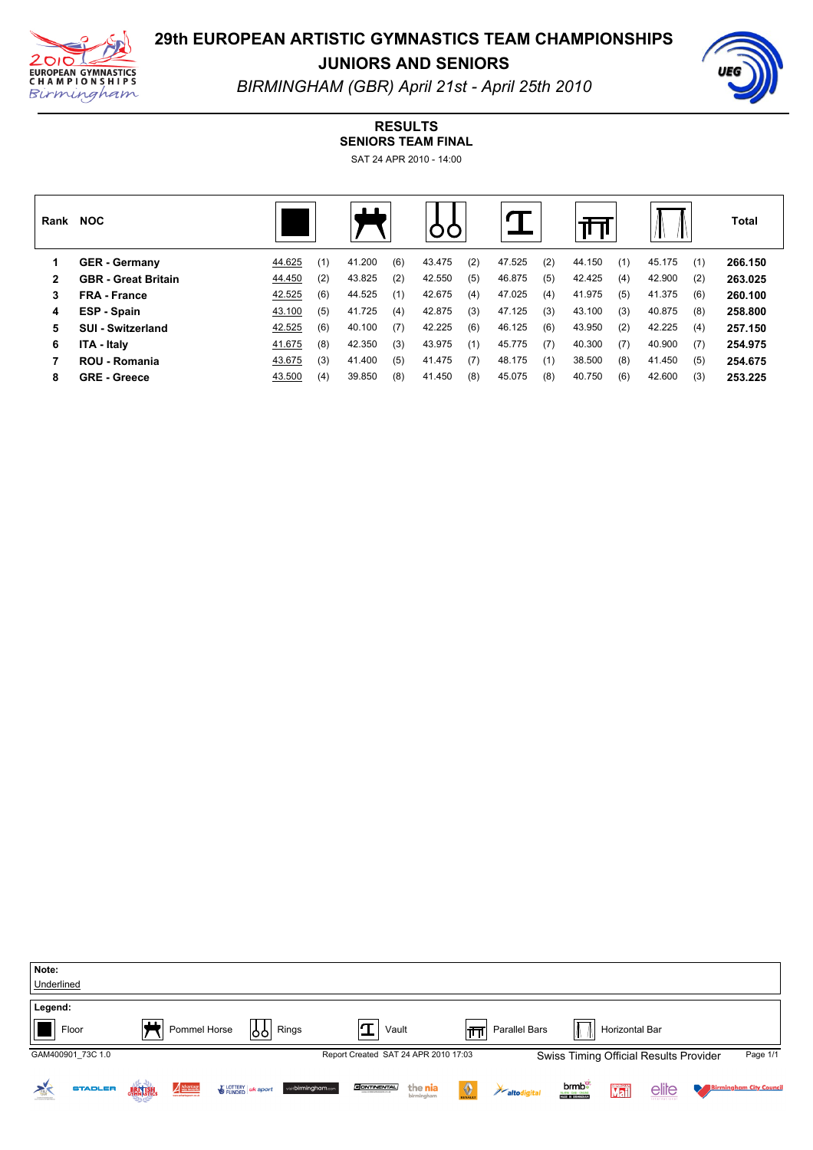

# **29th EUROPEAN ARTISTIC GYMNASTICS TEAM CHAMPIONSHIPS**

**JUNIORS AND SENIORS**



*BIRMINGHAM (GBR) April 21st April 25th 2010*

## **RESULTS**

**SENIORS TEAM FINAL** SAT 24 APR 2010 - 14:00

| Rank | <b>NOC</b>                 |        |     | $\blacksquare$ |     |        |     |        |     |        |     |        |     | <b>Total</b> |
|------|----------------------------|--------|-----|----------------|-----|--------|-----|--------|-----|--------|-----|--------|-----|--------------|
|      | <b>GER - Germany</b>       | 44.625 | (1) | 41.200         | (6) | 43.475 | (2) | 47.525 | (2) | 44.150 | (1) | 45.175 | (1) | 266.150      |
| 2    | <b>GBR</b> - Great Britain | 44.450 | (2) | 43.825         | (2) | 42.550 | (5) | 46.875 | (5) | 42.425 | (4) | 42.900 | (2) | 263.025      |
| 3    | <b>FRA</b> - France        | 42.525 | (6) | 44.525         | (1) | 42.675 | (4) | 47.025 | (4) | 41.975 | (5) | 41.375 | (6) | 260.100      |
| 4    | ESP - Spain                | 43.100 | (5) | 41.725         | (4) | 42.875 | (3) | 47.125 | (3) | 43.100 | (3) | 40.875 | (8) | 258.800      |
| 5    | <b>SUI - Switzerland</b>   | 42.525 | (6) | 40.100         | (7) | 42.225 | (6) | 46.125 | (6) | 43.950 | (2) | 42.225 | (4) | 257.150      |
| 6    | <b>ITA - Italv</b>         | 41.675 | (8) | 42.350         | (3) | 43.975 | (1) | 45.775 | (7) | 40.300 | (7) | 40.900 | (7) | 254.975      |
|      | <b>ROU - Romania</b>       | 43.675 | (3) | 41.400         | (5) | 41.475 | (7) | 48.175 | (1) | 38.500 | (8) | 41.450 | (5) | 254.675      |
| 8    | <b>GRE</b> - Greece        | 43.500 | (4) | 39.850         | (8) | 41.450 | (8) | 45.075 | (8) | 40.750 | (6) | 42.600 | (3) | 253.225      |

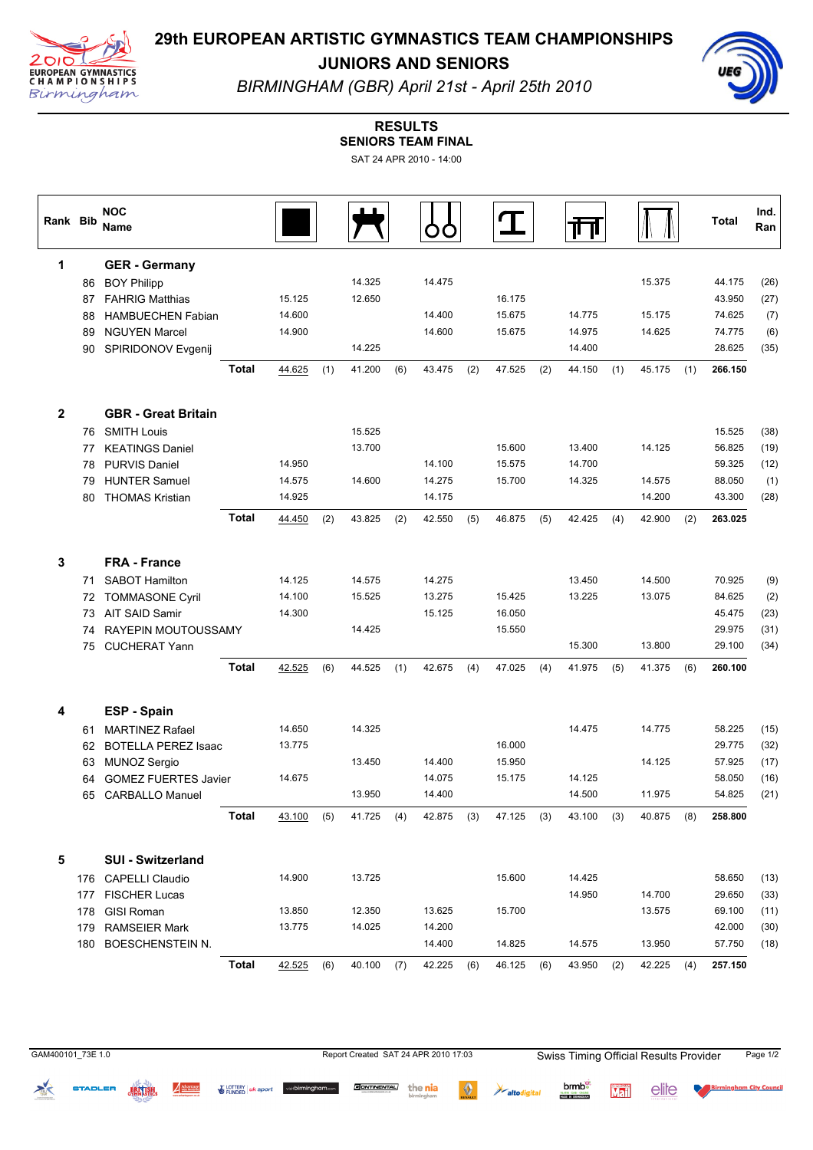

# **29th EUROPEAN ARTISTIC GYMNASTICS TEAM CHAMPIONSHIPS**

**JUNIORS AND SENIORS**



*BIRMINGHAM (GBR) April 21st April 25th 2010*

#### **RESULTS**

**SENIORS TEAM FINAL** SAT 24 APR 2010 - 14:00

| SAT 24 APR 2010 - 14:00 |  |
|-------------------------|--|
|                         |  |

| Rank Bib     |    | <b>NOC</b><br>Name          |              |            |     |            |     |            |     |            |     |            |     |            |     | Total   | Ind.<br>Ran |
|--------------|----|-----------------------------|--------------|------------|-----|------------|-----|------------|-----|------------|-----|------------|-----|------------|-----|---------|-------------|
| 1            |    | <b>GER</b> - Germany        |              |            |     |            |     |            |     |            |     |            |     |            |     |         |             |
|              | 86 | <b>BOY Philipp</b>          |              |            |     | 14.325     |     | 14.475     |     |            |     |            |     | 15.375     |     | 44.175  | (26)        |
|              | 87 | <b>FAHRIG Matthias</b>      |              | 15.125     |     | 12.650     |     |            |     | 16.175     |     |            |     |            |     | 43.950  | (27)        |
|              | 88 | <b>HAMBUECHEN Fabian</b>    |              | 14.600     |     |            |     | 14.400     |     | 15.675     |     | 14.775     |     | 15.175     |     | 74.625  | (7)         |
|              | 89 | <b>NGUYEN Marcel</b>        |              | 14.900     |     |            |     | 14.600     |     | 15.675     |     | 14.975     |     | 14.625     |     | 74.775  | (6)         |
|              | 90 | SPIRIDONOV Evgenij          |              |            |     | 14.225     |     |            |     |            |     | 14.400     |     |            |     | 28.625  | (35)        |
|              |    |                             | <b>Total</b> | 44.625     | (1) | 41.200     | (6) | 43.475     | (2) | 47.525     | (2) | 44.150     | (1) | 45.175     | (1) | 266.150 |             |
| $\mathbf{2}$ |    | <b>GBR - Great Britain</b>  |              |            |     |            |     |            |     |            |     |            |     |            |     |         |             |
|              |    | 76 SMITH Louis              |              |            |     | 15.525     |     |            |     |            |     |            |     |            |     | 15.525  | (38)        |
|              | 77 | <b>KEATINGS Daniel</b>      |              |            |     | 13.700     |     |            |     | 15.600     |     | 13.400     |     | 14.125     |     | 56.825  | (19)        |
|              | 78 | <b>PURVIS Daniel</b>        |              | 14.950     |     |            |     | 14.100     |     | 15.575     |     | 14.700     |     |            |     | 59.325  | (12)        |
|              | 79 | <b>HUNTER Samuel</b>        |              | 14.575     |     | 14.600     |     | 14.275     |     | 15.700     |     | 14.325     |     | 14.575     |     | 88.050  | (1)         |
|              | 80 | <b>THOMAS Kristian</b>      |              | 14.925     |     |            |     | 14.175     |     |            |     |            |     | 14.200     |     | 43.300  | (28)        |
|              |    |                             | <b>Total</b> | 44.450     | (2) | 43.825     | (2) | 42.550     | (5) | 46.875     | (5) | 42.425     | (4) | 42.900     | (2) | 263.025 |             |
| 3            |    | <b>FRA - France</b>         |              |            |     |            |     |            |     |            |     |            |     |            |     |         |             |
|              | 71 | <b>SABOT Hamilton</b>       |              | 14.125     |     | 14.575     |     | 14.275     |     |            |     | 13.450     |     | 14.500     |     | 70.925  | (9)         |
|              |    | 72 TOMMASONE Cyril          |              | 14.100     |     | 15.525     |     | 13.275     |     | 15.425     |     | 13.225     |     | 13.075     |     | 84.625  | (2)         |
|              | 73 | AIT SAID Samir              |              | 14.300     |     |            |     | 15.125     |     | 16.050     |     |            |     |            |     | 45.475  | (23)        |
|              | 74 | RAYEPIN MOUTOUSSAMY         |              |            |     | 14.425     |     |            |     | 15.550     |     |            |     |            |     | 29.975  | (31)        |
|              | 75 | <b>CUCHERAT Yann</b>        |              |            |     |            |     |            |     |            |     | 15.300     |     | 13.800     |     | 29.100  | (34)        |
|              |    |                             | <b>Total</b> | 42.525     | (6) | 44.525     | (1) | 42.675     | (4) | 47.025     | (4) | 41.975     | (5) | 41.375     | (6) | 260.100 |             |
| 4            |    | ESP - Spain                 |              |            |     |            |     |            |     |            |     |            |     |            |     |         |             |
|              | 61 | <b>MARTINEZ Rafael</b>      |              | 14.650     |     | 14.325     |     |            |     |            |     | 14.475     |     | 14.775     |     | 58.225  | (15)        |
|              | 62 | <b>BOTELLA PEREZ Isaac</b>  |              | 13.775     |     |            |     |            |     | 16.000     |     |            |     |            |     | 29.775  | (32)        |
|              | 63 | MUNOZ Sergio                |              |            |     | 13.450     |     | 14.400     |     | 15.950     |     |            |     | 14.125     |     | 57.925  | (17)        |
|              | 64 | <b>GOMEZ FUERTES Javier</b> |              | 14.675     |     |            |     | 14.075     |     | 15.175     |     | 14.125     |     |            |     | 58.050  | (16)        |
|              | 65 | <b>CARBALLO Manuel</b>      |              |            |     | 13.950     |     | 14.400     |     |            |     | 14.500     |     | 11.975     |     | 54.825  | (21)        |
|              |    |                             | Total        | 43.100 (5) |     | 41.725 (4) |     | 42.875 (3) |     | 47.125 (3) |     | 43.100 (3) |     | 40.875 (8) |     | 258.800 |             |
| 5            |    | <b>SUI - Switzerland</b>    |              |            |     |            |     |            |     |            |     |            |     |            |     |         |             |
|              |    | 176 CAPELLI Claudio         |              | 14.900     |     | 13.725     |     |            |     | 15.600     |     | 14.425     |     |            |     | 58.650  | (13)        |
|              |    | 177 FISCHER Lucas           |              |            |     |            |     |            |     |            |     | 14.950     |     | 14.700     |     | 29.650  | (33)        |
|              |    | 178 GISI Roman              |              | 13.850     |     | 12.350     |     | 13.625     |     | 15.700     |     |            |     | 13.575     |     | 69.100  | (11)        |
|              |    | 179 RAMSEIER Mark           |              | 13.775     |     | 14.025     |     | 14.200     |     |            |     |            |     |            |     | 42.000  | (30)        |
|              |    | 180 BOESCHENSTEIN N.        |              |            |     |            |     | 14.400     |     | 14.825     |     | 14.575     |     | 13.950     |     | 57.750  | (18)        |
|              |    |                             | <b>Total</b> | 42.525     | (6) | 40.100     | (7) | 42.225     | (6) | 46.125     | (6) | 43.950     | (2) | 42.225     | (4) | 257.150 |             |

 $\geq$ 

BRITISH

Advantage

◈

 $\overleftrightarrow{a}$  altodigital

E LOTTERY UK sport visibilimingham.com **GONTINENTAL** the nia

GAM400101\_73E 1.0 **Report Created SAT 24 APR 2010 17:03** Swiss Timing Official Results Provider Page 1/2

Mail

elite

brmb<sup>e</sup>

**NARM - DAB - ONLINE**<br>MADE IN BRANDBAM

**Birmingham City Council**